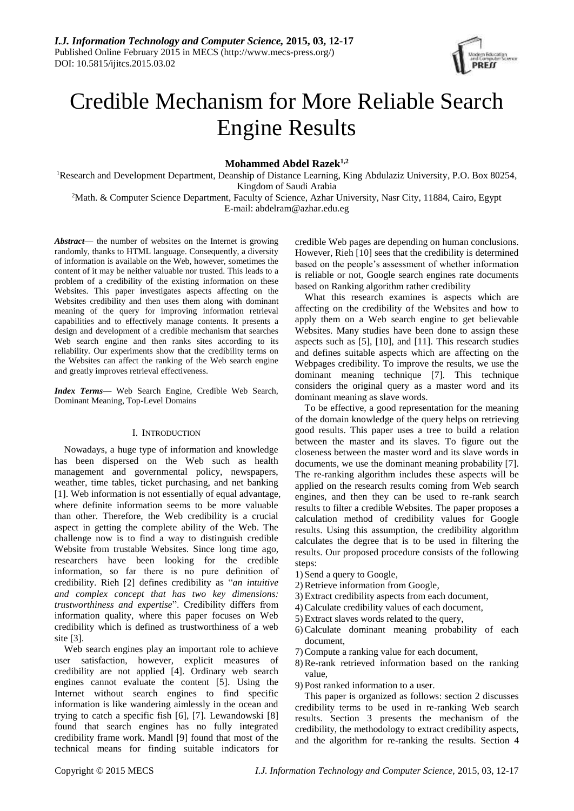

# Credible Mechanism for More Reliable Search Engine Results

**Mohammed Abdel Razek1,2**

<sup>1</sup>Research and Development Department, Deanship of Distance Learning, King Abdulaziz University, P.O. Box 80254, Kingdom of Saudi Arabia

<sup>2</sup>Math. & Computer Science Department, Faculty of Science, Azhar University, Nasr City, 11884, Cairo, Egypt E-mail: abdelram@azhar.edu.eg

*Abstract***—** the number of websites on the Internet is growing randomly, thanks to HTML language. Consequently, a diversity of information is available on the Web, however, sometimes the content of it may be neither valuable nor trusted. This leads to a problem of a credibility of the existing information on these Websites. This paper investigates aspects affecting on the Websites credibility and then uses them along with dominant meaning of the query for improving information retrieval capabilities and to effectively manage contents. It presents a design and development of a credible mechanism that searches Web search engine and then ranks sites according to its reliability. Our experiments show that the credibility terms on the Websites can affect the ranking of the Web search engine and greatly improves retrieval effectiveness.

*Index Terms***—** Web Search Engine, Credible Web Search, Dominant Meaning, Top-Level Domains

#### I. INTRODUCTION

Nowadays, a huge type of information and knowledge has been dispersed on the Web such as health management and governmental policy, newspapers, weather, time tables, ticket purchasing, and net banking [1]. Web information is not essentially of equal advantage, where definite information seems to be more valuable than other. Therefore, the Web credibility is a crucial aspect in getting the complete ability of the Web. The challenge now is to find a way to distinguish credible Website from trustable Websites. Since long time ago, researchers have been looking for the credible information, so far there is no pure definition of credibility. Rieh [2] defines credibility as "*an intuitive and complex concept that has two key dimensions: trustworthiness and expertise*". Credibility differs from information quality, where this paper focuses on Web credibility which is defined as trustworthiness of a web site [3].

Web search engines play an important role to achieve user satisfaction, however, explicit measures of credibility are not applied [4]. Ordinary web search engines cannot evaluate the content [5]. Using the Internet without search engines to find specific information is like wandering aimlessly in the ocean and trying to catch a specific fish [6], [7]. Lewandowski [8] found that search engines has no fully integrated credibility frame work. Mandl [9] found that most of the technical means for finding suitable indicators for credible Web pages are depending on human conclusions. However, Rieh [10] sees that the credibility is determined based on the people's assessment of whether information is reliable or not, Google search engines rate documents based on Ranking algorithm rather credibility

What this research examines is aspects which are affecting on the credibility of the Websites and how to apply them on a Web search engine to get believable Websites. Many studies have been done to assign these aspects such as [5], [10], and [11]. This research studies and defines suitable aspects which are affecting on the Webpages credibility. To improve the results, we use the dominant meaning technique [7]. This technique considers the original query as a master word and its dominant meaning as slave words.

To be effective, a good representation for the meaning of the domain knowledge of the query helps on retrieving good results. This paper uses a tree to build a relation between the master and its slaves. To figure out the closeness between the master word and its slave words in documents, we use the dominant meaning probability [7]. The re-ranking algorithm includes these aspects will be applied on the research results coming from Web search engines, and then they can be used to re-rank search results to filter a credible Websites. The paper proposes a calculation method of credibility values for Google results. Using this assumption, the credibility algorithm calculates the degree that is to be used in filtering the results. Our proposed procedure consists of the following steps:

- 1) Send a query to Google,
- 2)Retrieve information from Google,
- 3) Extract credibility aspects from each document,
- 4)Calculate credibility values of each document,
- 5) Extract slaves words related to the query,
- 6)Calculate dominant meaning probability of each document,
- 7)Compute a ranking value for each document,
- 8)Re-rank retrieved information based on the ranking value,
- 9) Post ranked information to a user.

This paper is organized as follows: section 2 discusses credibility terms to be used in re-ranking Web search results. Section 3 presents the mechanism of the credibility, the methodology to extract credibility aspects, and the algorithm for re-ranking the results. Section 4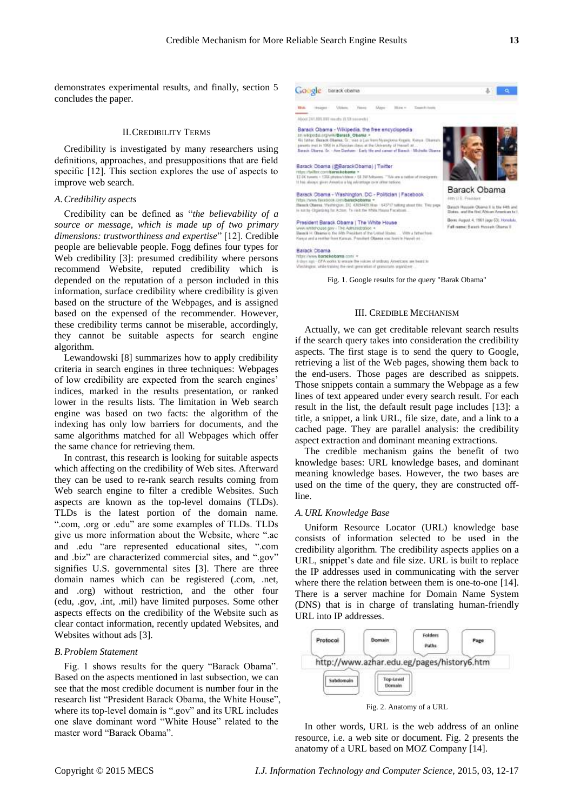demonstrates experimental results, and finally, section 5 concludes the paper.

#### II.CREDIBILITY TERMS

Credibility is investigated by many researchers using definitions, approaches, and presuppositions that are field specific [12]. This section explores the use of aspects to improve web search.

#### *A.Credibility aspects*

Credibility can be defined as "*the believability of a source or message, which is made up of two primary dimensions: trustworthiness and expertise*" [12]. Credible people are believable people. Fogg defines four types for Web credibility [3]: presumed credibility where persons recommend Website, reputed credibility which is depended on the reputation of a person included in this information, surface credibility where credibility is given based on the structure of the Webpages, and is assigned based on the expensed of the recommender. However, these credibility terms cannot be miserable, accordingly, they cannot be suitable aspects for search engine algorithm.

Lewandowski [8] summarizes how to apply credibility criteria in search engines in three techniques: Webpages of low credibility are expected from the search engines' indices, marked in the results presentation, or ranked lower in the results lists. The limitation in Web search engine was based on two facts: the algorithm of the indexing has only low barriers for documents, and the same algorithms matched for all Webpages which offer the same chance for retrieving them.

In contrast, this research is looking for suitable aspects which affecting on the credibility of Web sites. Afterward they can be used to re-rank search results coming from Web search engine to filter a credible Websites. Such aspects are known as the top-level domains (TLDs). TLDs is the latest portion of the domain name. ".com, .org or .edu" are some examples of TLDs. TLDs give us more information about the Website, where ".ac and .edu "are represented educational sites, ".com and .biz" are characterized commercial sites, and ".gov" signifies U.S. governmental sites [3]. There are three domain names which can be registered (.com, .net, and .org) without restriction, and the other four (edu, .gov, .int, .mil) have limited purposes. Some other aspects effects on the credibility of the Website such as clear contact information, recently updated Websites, and Websites without ads [3].

#### *B.Problem Statement*

Fig. 1 shows results for the query "Barack Obama". Based on the aspects mentioned in last subsection, we can see that the most credible document is number four in the research list "President Barack Obama, the White House", where its top-level domain is ".gov" and its URL includes one slave dominant word "White House" related to the master word "Barack Obama".



Barack Obama<br>http://www.barakabama.com/ +<br>4-sings.ay/ - Of A sooks to emails the sidom of sedium American, we heard is<br>Westington, while raising the rest generation of generator segminator

Fig. 1. Google results for the query "Barak Obama"

#### III. CREDIBLE MECHANISM

Actually, we can get creditable relevant search results if the search query takes into consideration the credibility aspects. The first stage is to send the query to Google, retrieving a list of the Web pages, showing them back to the end-users. Those pages are described as snippets. Those snippets contain a summary the Webpage as a few lines of text appeared under every search result. For each result in the list, the default result page includes [13]: a title, a snippet, a link URL, file size, date, and a link to a cached page. They are parallel analysis: the credibility aspect extraction and dominant meaning extractions.

The credible mechanism gains the benefit of two knowledge bases: URL knowledge bases, and dominant meaning knowledge bases. However, the two bases are used on the time of the query, they are constructed offline.

#### *A.URL Knowledge Base*

Uniform Resource Locator (URL) knowledge base consists of information selected to be used in the credibility algorithm. The credibility aspects applies on a URL, snippet's date and file size. URL is built to replace the IP addresses used in communicating with the server where there the relation between them is one-to-one [14]. There is a server machine for Domain Name System (DNS) that is in charge of translating human-friendly URL into IP addresses.



Fig. 2. Anatomy of a URL

In other words, URL is the web address of an online resource, i.e. a web site or document. Fig. 2 presents the anatomy of a URL based on MOZ Company [14].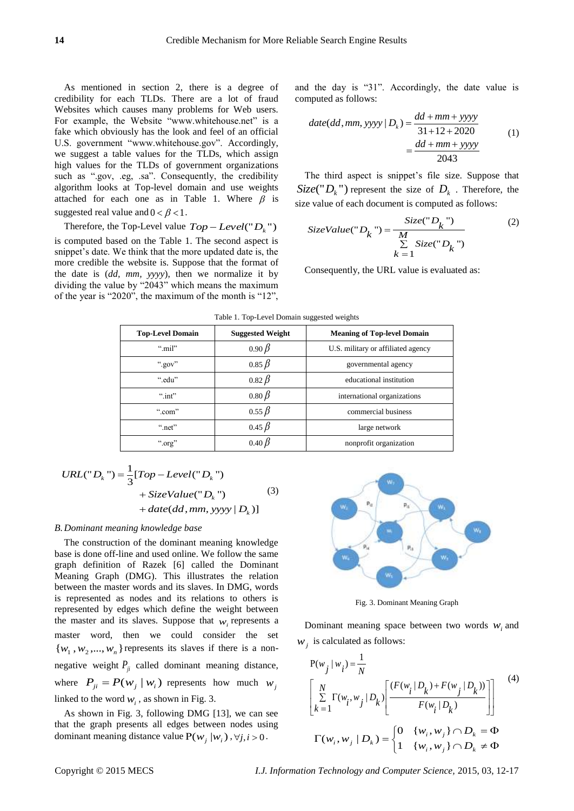As mentioned in section 2, there is a degree of credibility for each TLDs. There are a lot of fraud Websites which causes many problems for Web users. For example, the Website "www.whitehouse.net" is a fake which obviously has the look and feel of an official U.S. government "www.whitehouse.gov". Accordingly, we suggest a table values for the TLDs, which assign high values for the TLDs of government organizations such as ".gov, .eg, .sa". Consequently, the credibility algorithm looks at Top-level domain and use weights attached for each one as in Table 1. Where  $\beta$  is suggested real value and  $0 < \beta < 1$ .

Therefore, the Top-Level value  $Top-Level("D<sub>k</sub>")$ is computed based on the Table 1. The second aspect is snippet's date. We think that the more updated date is, the more credible the website is. Suppose that the format of the date is (*dd, mm, yyyy*), then we normalize it by dividing the value by "2043" which means the maximum of the year is "2020", the maximum of the month is "12",

and the day is "31". Accordingly, the date value is computed as follows:

inputed as follows:

\n
$$
date(dd,mm,yyyy|D_k) = \frac{dd+mm+yyyy}{31+12+2020}
$$
\n
$$
= \frac{dd+mm+yyyy}{2043}
$$
\n(1)

The third aspect is snippet's file size. Suppose that  $Size(" D_k")$  represent the size of  $D_k$ . Therefore, the

size value of each document is computed as follows:  
\n
$$
SizeValue("D_k") = \frac{Size("D_k")}{\sum_{k=1}^{M} Size("D_k")}
$$
\n(2)

Consequently, the URL value is evaluated as:

| <b>Top-Level Domain</b> | <b>Suggested Weight</b> | <b>Meaning of Top-level Domain</b> |
|-------------------------|-------------------------|------------------------------------|
| " $m$ il"               | $0.90\beta$             | U.S. military or affiliated agency |
| ".gov"                  | $0.85\,\beta$           | governmental agency                |
| ".edu"                  | $0.82 \beta$            | educational institution            |
| " $int$ "               | $0.80\beta$             | international organizations        |
| " $.com$ "              | $0.55\,\beta$           | commercial business                |
| " $net"$                | $0.45\beta$             | large network                      |
| ".org"                  | $0.40\,\beta$           | nonprofit organization             |
|                         |                         |                                    |

Table 1. Top-Level Domain suggested weights

URL("D<sub>k</sub>") = 
$$
\frac{1}{3}[Top - Level("Dk") + SizeValue("Dk")
$$

$$
+ date(dd, mm, yyy | Dk)]
$$
 (3)

#### *B.Dominant meaning knowledge base*

The construction of the dominant meaning knowledge base is done off-line and used online. We follow the same graph definition of Razek [6] called the Dominant Meaning Graph (DMG). This illustrates the relation between the master words and its slaves. In DMG, words is represented as nodes and its relations to others is represented by edges which define the weight between the master and its slaves. Suppose that  $w_i$  represents a master word, then we could consider the set  $\{w_1, w_2, \dots, w_n\}$  represents its slaves if there is a nonnegative weight  $P_{ji}$  called dominant meaning distance, where  $P_{ji} = P(w_j | w_i)$  represents how much  $w_j$ linked to the word  $w_i$ , as shown in Fig. 3.

As shown in Fig. 3, following DMG [13], we can see that the graph presents all edges between nodes using dominant meaning distance value  $P(w_j | w_i), \forall j, i > 0$ .



Fig. 3. Dominant Meaning Graph

Dominant meaning space between two words  $w_i$  and

$$
w_j \text{ is calculated as follows:}
$$
\n
$$
P(w_j | w_i) = \frac{1}{N}
$$
\n
$$
\left[ \sum_{k=1}^N \Gamma(w_i, w_j | D_k) \left[ \frac{(F(w_i | D_k) + F(w_j | D_k))}{F(w_i | D_k)} \right] \right]
$$
\n
$$
\Gamma(w_i, w_j | D_k) = \begin{cases} 0 & \{w_i, w_j\} \cap D_k = \Phi \\ 1 & \{w_i, w_j\} \cap D_k \neq \Phi \end{cases}
$$
\n(4)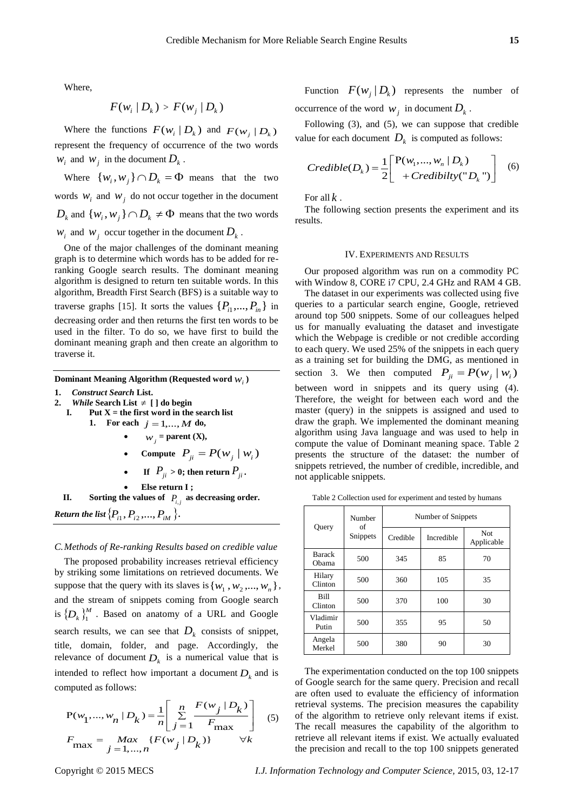Where,

$$
F(w_i | D_k) > F(w_j | D_k)
$$

Where the functions  $F(w_i | D_k)$  and  $F(w_j | D_k)$ represent the frequency of occurrence of the two words  $w_i$  and  $w_j$  in the document  $D_k$ .

Where  $\{w_i, w_j\} \cap D_k = \Phi$  means that the two words  $W_i$  and  $W_j$  do not occur together in the document  $D_k$  and  $\{w_i, w_j\} \cap D_k \neq \Phi$  means that the two words  $w_i$  and  $w_j$  occur together in the document  $D_k$ .

One of the major challenges of the dominant meaning graph is to determine which words has to be added for reranking Google search results. The dominant meaning algorithm is designed to return ten suitable words. In this algorithm, Breadth First Search (BFS) is a suitable way to traverse graphs [15]. It sorts the values  $\{P_{i1},..., P_{in}\}\$ in decreasing order and then returns the first ten words to be used in the filter. To do so, we have first to build the dominant meaning graph and then create an algorithm to traverse it.

## Dominant Meaning Algorithm (Requested word  $w_i$ )

- **1.** *Construct Search* **List.**
- 2. *While* Search List  $\neq$  [ ] do begin
- **I. Put X = the first word in the search list 1. For each**  $j = 1,..., M$  **do,** 
	- $w_j$  = parent (X),
		- **Compute**  $P_{ji} = P(w_j | w_i)$

**.**

• If 
$$
P_{ji} > 0
$$
; then return  $P_{ji}$ 

 **Else return I ; II.** Sorting the values of  $P_{i,j}$  as decreasing order.  $\mathcal{R}$ eturn the list  $\{P_{i1}, P_{i2},..., P_{iM}\}$ .

#### *C.Methods of Re-ranking Results based on credible value*

The proposed probability increases retrieval efficiency by striking some limitations on retrieved documents. We suppose that the query with its slaves is  $\{w_1, w_2, ..., w_n\}$ , and the stream of snippets coming from Google search is  $\{D_k\}_1^M$  . Based on anatomy of a URL and Google search results, we can see that  $D_k$  consists of snippet, title, domain, folder, and page. Accordingly, the relevance of document  $D_k$  is a numerical value that is intended to reflect how important a document  $D_k$  and is computed as follows:

nputed as follows:  
\n
$$
P(w_1, ..., w_n | D_k) = \frac{1}{n} \left[ \sum_{j=1}^{n} \frac{F(w_j | D_k)}{F_{\text{max}}} \right]
$$
\n
$$
F_{\text{max}} = \frac{Max}{j=1,...,n} \{F(w_j | D_k)\} \quad \forall k
$$
\n(5)

Function  $F(w_j | D_k)$  represents the number of occurrence of the word  $w_j$  in document  $D_k$ .

Following (3), and (5), we can suppose that credible

value for each document 
$$
D_k
$$
 is computed as follows:  
\n
$$
Credible(D_k) = \frac{1}{2} \begin{bmatrix} P(w_1, ..., w_n | D_k) \\ + Credibility("D_k") \end{bmatrix}
$$
 (6)

For all *k* .

The following section presents the experiment and its results.

#### IV. EXPERIMENTS AND RESULTS

Our proposed algorithm was run on a commodity PC with Window 8, CORE i7 CPU, 2.4 GHz and RAM 4 GB.

The dataset in our experiments was collected using five queries to a particular search engine, Google, retrieved around top 500 snippets. Some of our colleagues helped us for manually evaluating the dataset and investigate which the Webpage is credible or not credible according to each query. We used 25% of the snippets in each query as a training set for building the DMG, as mentioned in section 3. We then computed  $P_{ji} = P(w_j | w_i)$ between word in snippets and its query using (4). Therefore, the weight for between each word and the master (query) in the snippets is assigned and used to draw the graph. We implemented the dominant meaning algorithm using Java language and was used to help in compute the value of Dominant meaning space. Table 2 presents the structure of the dataset: the number of snippets retrieved, the number of credible, incredible, and not applicable snippets.

Table 2 Collection used for experiment and tested by humans

| Query                  | Number<br>of<br>Snippets | Number of Snippets |            |                          |
|------------------------|--------------------------|--------------------|------------|--------------------------|
|                        |                          | Credible           | Incredible | <b>Not</b><br>Applicable |
| <b>Barack</b><br>Obama | 500                      | 345                | 85         | 70                       |
| Hilary<br>Clinton      | 500                      | 360                | 105        | 35                       |
| <b>Bill</b><br>Clinton | 500                      | 370                | 100        | 30                       |
| Vladimir<br>Putin      | 500                      | 355                | 95         | 50                       |
| Angela<br>Merkel       | 500                      | 380                | 90         | 30                       |

The experimentation conducted on the top 100 snippets of Google search for the same query. Precision and recall are often used to evaluate the efficiency of information retrieval systems. The precision measures the capability of the algorithm to retrieve only relevant items if exist. The recall measures the capability of the algorithm to retrieve all relevant items if exist. We actually evaluated the precision and recall to the top 100 snippets generated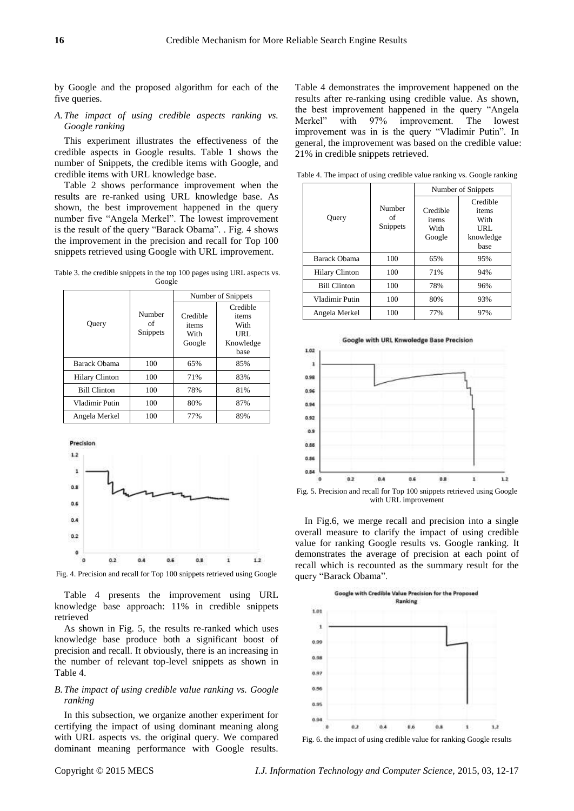by Google and the proposed algorithm for each of the five queries.

*A.The impact of using credible aspects ranking vs. Google ranking*

This experiment illustrates the effectiveness of the credible aspects in Google results. Table 1 shows the number of Snippets, the credible items with Google, and credible items with URL knowledge base.

Table 2 shows performance improvement when the results are re-ranked using URL knowledge base. As shown, the best improvement happened in the query number five "Angela Merkel". The lowest improvement is the result of the query "Barack Obama". . Fig. 4 shows the improvement in the precision and recall for Top 100 snippets retrieved using Google with URL improvement.

Table 3. the credible snippets in the top 100 pages using URL aspects vs. Google

|                       | Number<br>of<br>Snippets | Number of Snippets                  |                                                       |
|-----------------------|--------------------------|-------------------------------------|-------------------------------------------------------|
| Query                 |                          | Credible<br>items<br>With<br>Google | Credible<br>items<br>With<br>URL<br>Knowledge<br>base |
| Barack Obama          | 100                      | 65%                                 | 85%                                                   |
| <b>Hilary Clinton</b> | 100                      | 71%                                 | 83%                                                   |
| <b>Bill Clinton</b>   | 100                      | 78%                                 | 81%                                                   |
| Vladimir Putin        | 100                      | 80%                                 | 87%                                                   |
| Angela Merkel         | 100                      | 77%                                 | 89%                                                   |



Fig. 4. Precision and recall for Top 100 snippets retrieved using Google

Table 4 presents the improvement using URL knowledge base approach: 11% in credible snippets retrieved

As shown in Fig. 5, the results re-ranked which uses knowledge base produce both a significant boost of precision and recall. It obviously, there is an increasing in the number of relevant top-level snippets as shown in Table 4.

### *B.The impact of using credible value ranking vs. Google ranking*

In this subsection, we organize another experiment for certifying the impact of using dominant meaning along with URL aspects vs. the original query. We compared dominant meaning performance with Google results.

Table 4 demonstrates the improvement happened on the results after re-ranking using credible value. As shown, the best improvement happened in the query "Angela Merkel" with 97% improvement. The lowest improvement was in is the query "Vladimir Putin". In general, the improvement was based on the credible value: 21% in credible snippets retrieved.

Query Number of Snippets Number of Snippets Credible items With Google Credible items With URL knowledge base Barack Obama | 100 | 65% | 95% Hilary Clinton | 100 | 71% | 94% Bill Clinton 100 78% 96% Vladimir Putin | 100 | 80% | 93% Angela Merkel | 100 | 77% | 97%

| Query                 | Number<br>of<br>Snippets | Number of Snippets                  |                                                        |  |
|-----------------------|--------------------------|-------------------------------------|--------------------------------------------------------|--|
|                       |                          | Credible<br>items<br>With<br>Google | Credible<br>items<br>With<br>URL.<br>knowledge<br>base |  |
| Barack Obama          | 100                      | 65%                                 | 95%                                                    |  |
| <b>Hilary Clinton</b> | 100                      | 71%                                 | 94%                                                    |  |
| <b>Bill Clinton</b>   | 100                      | 78%                                 | 96%                                                    |  |
| Vladimir Putin        | 100                      | 80%                                 | 93%                                                    |  |
| Angela Merkel         | 100                      | 77%                                 | 97%                                                    |  |

Table 4. The impact of using credible value ranking vs. Google ranking



with URL improvement

In Fig.6, we merge recall and precision into a single overall measure to clarify the impact of using credible value for ranking Google results vs. Google ranking. It demonstrates the average of precision at each point of recall which is recounted as the summary result for the query "Barack Obama".